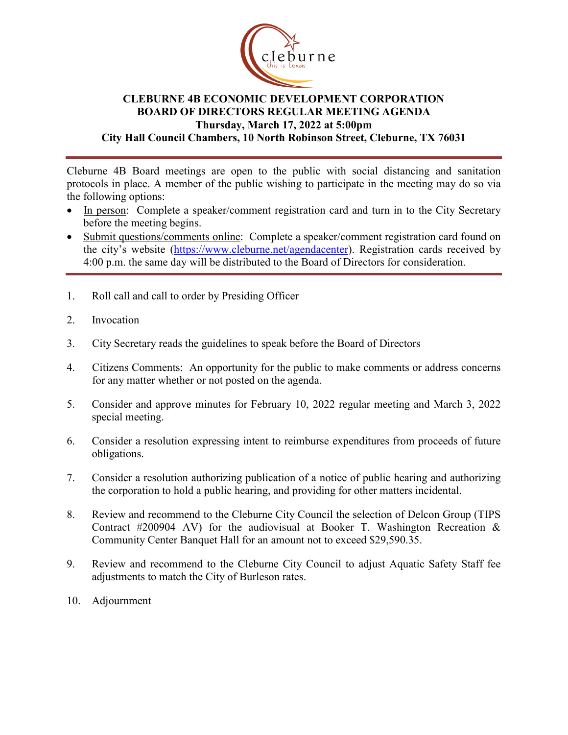

## **CLEBURNE 4B ECONOMIC DEVELOPMENT CORPORATION BOARD OF DIRECTORS REGULAR MEETING AGENDA Thursday, March 17, 2022 at 5:00pm City Hall Council Chambers, 10 North Robinson Street, Cleburne, TX 76031**

Cleburne 4B Board meetings are open to the public with social distancing and sanitation protocols in place. A member of the public wishing to participate in the meeting may do so via the following options:

- In person: Complete a speaker/comment registration card and turn in to the City Secretary before the meeting begins.
- Submit questions/comments online: Complete a speaker/comment registration card found on the city's website [\(https://www.cleburne.net/agendacenter\)](https://www.cleburne.net/agendacenter). Registration cards received by 4:00 p.m. the same day will be distributed to the Board of Directors for consideration.
- 1. Roll call and call to order by Presiding Officer
- 2. Invocation
- 3. City Secretary reads the guidelines to speak before the Board of Directors
- 4. Citizens Comments: An opportunity for the public to make comments or address concerns for any matter whether or not posted on the agenda.
- 5. Consider and approve minutes for February 10, 2022 regular meeting and March 3, 2022 special meeting.
- 6. Consider a resolution expressing intent to reimburse expenditures from proceeds of future obligations.
- 7. Consider a resolution authorizing publication of a notice of public hearing and authorizing the corporation to hold a public hearing, and providing for other matters incidental.
- 8. Review and recommend to the Cleburne City Council the selection of Delcon Group (TIPS Contract #200904 AV) for the audiovisual at Booker T. Washington Recreation  $\&$ Community Center Banquet Hall for an amount not to exceed \$29,590.35.
- 9. Review and recommend to the Cleburne City Council to adjust Aquatic Safety Staff fee adjustments to match the City of Burleson rates.
- 10. Adjournment